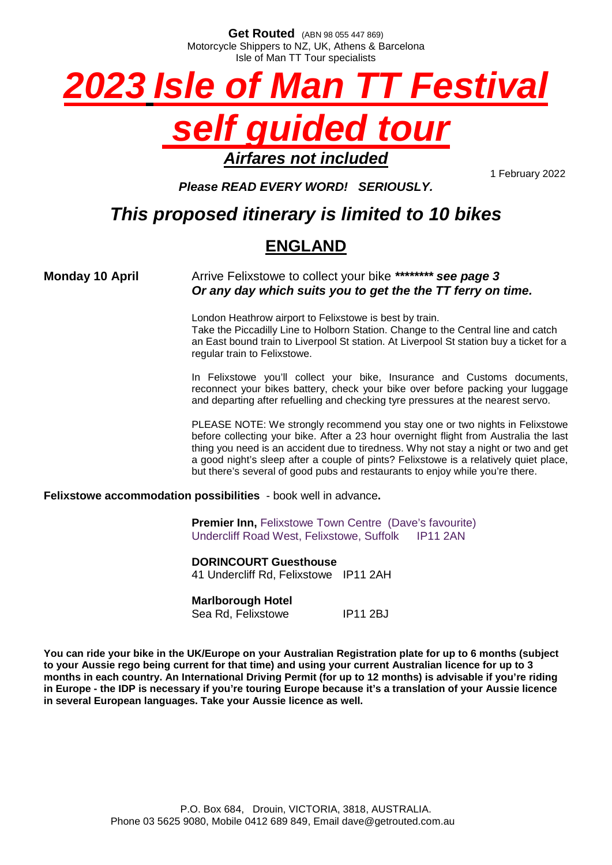**Get Routed** (ABN 98 055 447 869) Motorcycle Shippers to NZ, UK, Athens & Barcelona Isle of Man TT Tour specialists



## *Airfares not included*

1 February 2022

*Please READ EVERY WORD! SERIOUSLY.*

## *This proposed itinerary is limited to 10 bikes*

## **ENGLAND**

**Monday 10 April** Arrive Felixstowe to collect your bike \*\*\*\*\*\*\*\* see page 3 *Or any day which suits you to get the the TT ferry on time.*

> London Heathrow airport to Felixstowe is best by train. Take the Piccadilly Line to Holborn Station. Change to the Central line and catch an East bound train to Liverpool St station. At Liverpool St station buy a ticket for a regular train to Felixstowe.

> In Felixstowe you'll collect your bike, Insurance and Customs documents, reconnect your bikes battery, check your bike over before packing your luggage and departing after refuelling and checking tyre pressures at the nearest servo.

> PLEASE NOTE: We strongly recommend you stay one or two nights in Felixstowe before collecting your bike. After a 23 hour overnight flight from Australia the last thing you need is an accident due to tiredness. Why not stay a night or two and get a good night's sleep after a couple of pints? Felixstowe is a relatively quiet place, but there's several of good pubs and restaurants to enjoy while you're there.

**Felixstowe accommodation possibilities** - book well in advance**.**

**Premier Inn, Felixstowe Town Centre (Dave's favourite)** Undercliff Road West, Felixstowe, Suffolk IP11 2AN

**DORINCOURT Guesthouse** 41 Undercliff Rd, Felixstowe IP11 2AH

#### **Marlborough Hotel**

Sea Rd. Felixstowe IP11 2BJ

**You can ride your bike in the UK/Europe on your Australian Registration plate for up to 6 months (subject to your Aussie rego being current for that time) and using your current Australian licence for up to 3 months in each country. An International Driving Permit (for up to 12 months) is advisable if you're riding in Europe - the IDP is necessary if you're touring Europe because it's a translation of your Aussie licence in several European languages. Take your Aussie licence as well.**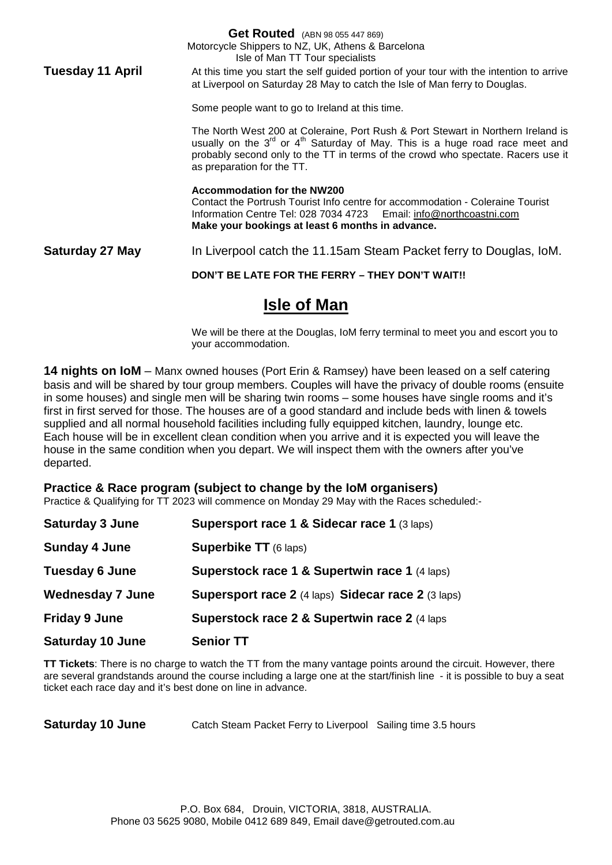**Get Routed** (ABN 98 055 447 869) Motorcycle Shippers to NZ, UK, Athens & Barcelona Isle of Man TT Tour specialists **Tuesday 11 April** At this time you start the self guided portion of your tour with the intention to arrive at Liverpool on Saturday 28 May to catch the Isle of Man ferry to Douglas. Some people want to go to Ireland at this time. The North West 200 at Coleraine, Port Rush & Port Stewart in Northern Ireland is usually on the  $3^{rd}$  or  $4^{th}$  Saturday of May. This is a huge road race meet and probably second only to the TT in terms of the crowd who spectate. Racers use it as preparation for the TT. **Accommodation for the NW200** Contact the Portrush Tourist Info centre for accommodation - Coleraine Tourist Information Centre Tel: 028 7034 4723 Email: [info@northcoastni.com](mailto:info@northcoastni.com) **Make your bookings at least 6 months in advance. Saturday 27 May** In Liverpool catch the 11.15am Steam Packet ferry to Douglas, IoM. **DON'T BE LATE FOR THE FERRY – THEY DON'T WAIT!!**

## **Isle of Man**

We will be there at the Douglas, IoM ferry terminal to meet you and escort you to your accommodation.

**14 nights on IoM** – Manx owned houses (Port Erin & Ramsey) have been leased on a self catering basis and will be shared by tour group members. Couples will have the privacy of double rooms (ensuite in some houses) and single men will be sharing twin rooms – some houses have single rooms and it's first in first served for those. The houses are of a good standard and include beds with linen & towels supplied and all normal household facilities including fully equipped kitchen, laundry, lounge etc. Each house will be in excellent clean condition when you arrive and it is expected you will leave the house in the same condition when you depart. We will inspect them with the owners after you've departed.

**Practice & Race program (subject to change by the IoM organisers)** Practice & Qualifying for TT 2023 will commence on Monday 29 May with the Races scheduled:-

| <b>Saturday 3 June</b>  | Supersport race 1 & Sidecar race 1 (3 laps)              |
|-------------------------|----------------------------------------------------------|
| <b>Sunday 4 June</b>    | <b>Superbike TT</b> (6 laps)                             |
| <b>Tuesday 6 June</b>   | <b>Superstock race 1 &amp; Supertwin race 1 (4 laps)</b> |
| <b>Wednesday 7 June</b> | Supersport race 2 (4 laps) Sidecar race 2 (3 laps)       |
| <b>Friday 9 June</b>    | Superstock race 2 & Supertwin race 2 (4 laps             |
| <b>Saturday 10 June</b> | <b>Senior TT</b>                                         |

**TT Tickets**: There is no charge to watch the TT from the many vantage points around the circuit. However, there are several grandstands around the course including a large one at the start/finish line - it is possible to buy a seat ticket each race day and it's best done on line in advance.

**Saturday 10 June** Catch Steam Packet Ferry to Liverpool Sailing time 3.5 hours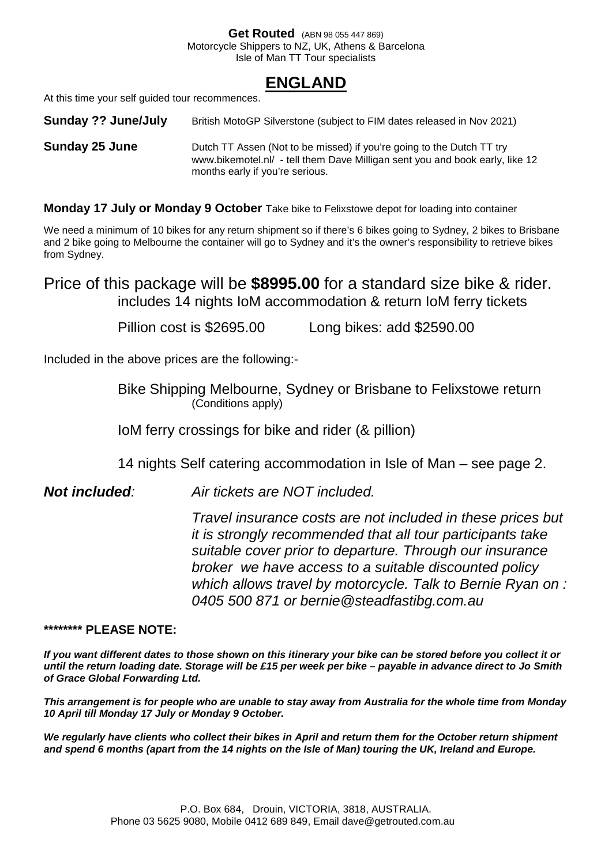#### **Get Routed** (ABN 98 055 447 869) Motorcycle Shippers to NZ, UK, Athens & Barcelona Isle of Man TT Tour specialists

### **ENGLAND**

At this time your self guided tour recommences.

**Sunday ?? June/July** British MotoGP Silverstone (subject to FIM dates released in Nov 2021)

**Sunday 25 June** Dutch TT Assen (Not to be missed) if you're going to the Dutch TT try www.bikemotel.nl/ - tell them Dave Milligan sent you and book early, like 12 months early if you're serious.

**Monday 17 July or Monday 9 October** Take bike to Felixstowe depot for loading into container

We need a minimum of 10 bikes for any return shipment so if there's 6 bikes going to Sydney, 2 bikes to Brisbane and 2 bike going to Melbourne the container will go to Sydney and it's the owner's responsibility to retrieve bikes from Sydney.

Price of this package will be **\$8995.00** for a standard size bike & rider. includes 14 nights IoM accommodation & return IoM ferry tickets

Pillion cost is \$2695.00 Long bikes: add \$2590.00

Included in the above prices are the following:-

Bike Shipping Melbourne, Sydney or Brisbane to Felixstowe return (Conditions apply)

IoM ferry crossings for bike and rider (& pillion)

14 nights Self catering accommodation in Isle of Man – see page 2.

*Not included: Air tickets are NOT included.*

*Travel insurance costs are not included in these prices but it is strongly recommended that all tour participants take suitable cover prior to departure. Through our insurance broker we have access to a suitable discounted policy which allows travel by motorcycle. Talk to Bernie Ryan on : 0405 500 871 or bernie@steadfastibg.com.au*

#### **\*\*\*\*\*\*\*\* PLEASE NOTE:**

*If you want different dates to those shown on this itinerary your bike can be stored before you collect it or until the return loading date. Storage will be £15 per week per bike – payable in advance direct to Jo Smith of Grace Global Forwarding Ltd.*

*This arrangement is for people who are unable to stay away from Australia for the whole time from Monday 10 April till Monday 17 July or Monday 9 October.*

*We regularly have clients who collect their bikes in April and return them for the October return shipment and spend 6 months (apart from the 14 nights on the Isle of Man) touring the UK, Ireland and Europe.*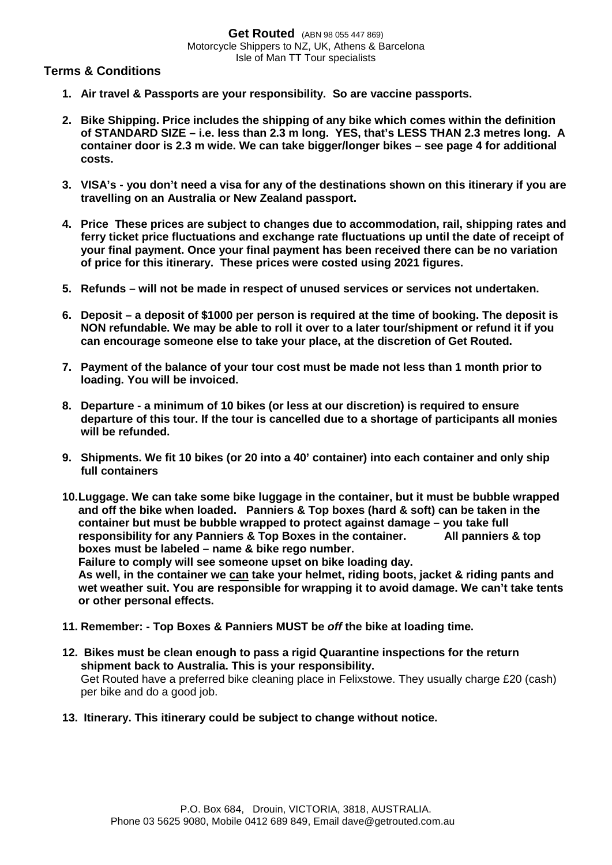#### **Terms & Conditions**

- **1. Air travel & Passports are your responsibility. So are vaccine passports.**
- **2. Bike Shipping. Price includes the shipping of any bike which comes within the definition of STANDARD SIZE – i.e. less than 2.3 m long. YES, that's LESS THAN 2.3 metres long. A container door is 2.3 m wide. We can take bigger/longer bikes – see page 4 for additional costs.**
- **3. VISA's you don't need a visa for any of the destinations shown on this itinerary if you are travelling on an Australia or New Zealand passport.**
- **4. Price These prices are subject to changes due to accommodation, rail, shipping rates and ferry ticket price fluctuations and exchange rate fluctuations up until the date of receipt of your final payment. Once your final payment has been received there can be no variation of price for this itinerary. These prices were costed using 2021 figures.**
- **5. Refunds will not be made in respect of unused services or services not undertaken.**
- **6. Deposit a deposit of \$1000 per person is required at the time of booking. The deposit is NON refundable. We may be able to roll it over to a later tour/shipment or refund it if you can encourage someone else to take your place, at the discretion of Get Routed.**
- **7. Payment of the balance of your tour cost must be made not less than 1 month prior to loading. You will be invoiced.**
- **8. Departure a minimum of 10 bikes (or less at our discretion) is required to ensure departure of this tour. If the tour is cancelled due to a shortage of participants all monies will be refunded.**
- **9. Shipments. We fit 10 bikes (or 20 into a 40' container) into each container and only ship full containers**
- **10.Luggage. We can take some bike luggage in the container, but it must be bubble wrapped and off the bike when loaded. Panniers & Top boxes (hard & soft) can be taken in the container but must be bubble wrapped to protect against damage – you take full responsibility for any Panniers & Top Boxes in the container. All panniers & top boxes must be labeled – name & bike rego number.**

**Failure to comply will see someone upset on bike loading day. As well, in the container we can take your helmet, riding boots, jacket & riding pants and wet weather suit. You are responsible for wrapping it to avoid damage. We can't take tents or other personal effects.**

- **11. Remember: Top Boxes & Panniers MUST be** *off* **the bike at loading time.**
- **12. Bikes must be clean enough to pass a rigid Quarantine inspections for the return shipment back to Australia. This is your responsibility.** Get Routed have a preferred bike cleaning place in Felixstowe. They usually charge £20 (cash) per bike and do a good job.
- **13. Itinerary. This itinerary could be subject to change without notice.**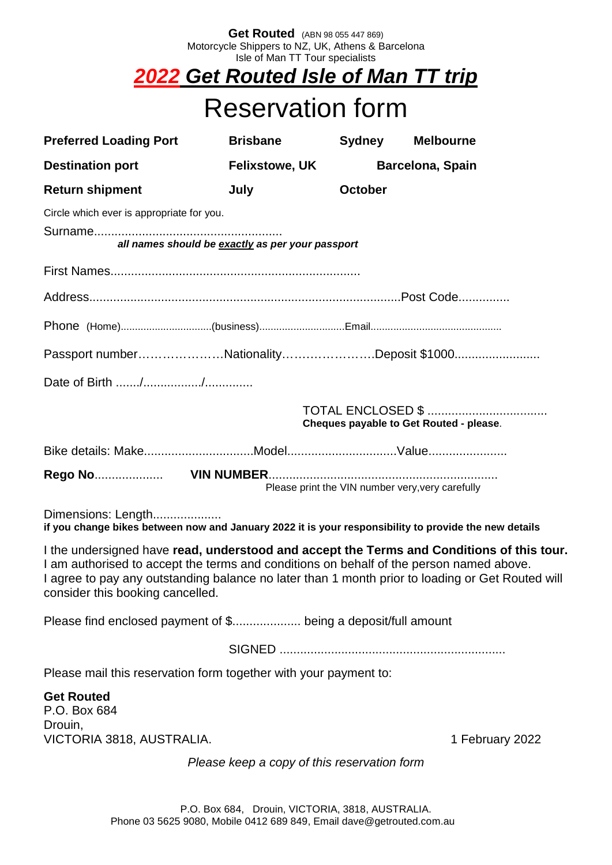#### **Get Routed** (ABN 98 055 447 869) Motorcycle Shippers to NZ, UK, Athens & Barcelona Isle of Man TT Tour specialists

## *2022 Get Routed Isle of Man TT trip*

# Reservation form

| <b>Preferred Loading Port</b>                                                                                                                                                                                                                                                                                                | <b>Brisbane</b>       | <b>Sydney</b>                                    | <b>Melbourne</b>                                                     |  |  |
|------------------------------------------------------------------------------------------------------------------------------------------------------------------------------------------------------------------------------------------------------------------------------------------------------------------------------|-----------------------|--------------------------------------------------|----------------------------------------------------------------------|--|--|
| <b>Destination port</b>                                                                                                                                                                                                                                                                                                      | <b>Felixstowe, UK</b> |                                                  | Barcelona, Spain                                                     |  |  |
| <b>Return shipment</b>                                                                                                                                                                                                                                                                                                       | July                  | <b>October</b>                                   |                                                                      |  |  |
| Circle which ever is appropriate for you.<br>all names should be exactly as per your passport                                                                                                                                                                                                                                |                       |                                                  |                                                                      |  |  |
|                                                                                                                                                                                                                                                                                                                              |                       |                                                  |                                                                      |  |  |
|                                                                                                                                                                                                                                                                                                                              |                       |                                                  |                                                                      |  |  |
|                                                                                                                                                                                                                                                                                                                              |                       |                                                  |                                                                      |  |  |
| Passport numberNationalityDeposit \$1000                                                                                                                                                                                                                                                                                     |                       |                                                  |                                                                      |  |  |
|                                                                                                                                                                                                                                                                                                                              |                       |                                                  |                                                                      |  |  |
|                                                                                                                                                                                                                                                                                                                              |                       |                                                  | <b>TOTAL ENCLOSED \$ </b><br>Cheques payable to Get Routed - please. |  |  |
|                                                                                                                                                                                                                                                                                                                              |                       |                                                  |                                                                      |  |  |
|                                                                                                                                                                                                                                                                                                                              |                       | Please print the VIN number very, very carefully |                                                                      |  |  |
| Dimensions: Length<br>if you change bikes between now and January 2022 it is your responsibility to provide the new details                                                                                                                                                                                                  |                       |                                                  |                                                                      |  |  |
| I the undersigned have read, understood and accept the Terms and Conditions of this tour.<br>I am authorised to accept the terms and conditions on behalf of the person named above.<br>I agree to pay any outstanding balance no later than 1 month prior to loading or Get Routed will<br>consider this booking cancelled. |                       |                                                  |                                                                      |  |  |
| Please find enclosed payment of \$ being a deposit/full amount                                                                                                                                                                                                                                                               |                       |                                                  |                                                                      |  |  |
|                                                                                                                                                                                                                                                                                                                              |                       |                                                  |                                                                      |  |  |
| Please mail this reservation form together with your payment to:                                                                                                                                                                                                                                                             |                       |                                                  |                                                                      |  |  |
| <b>Get Routed</b><br>P.O. Box 684<br>Drouin,<br>VICTORIA 3818, AUSTRALIA.                                                                                                                                                                                                                                                    |                       |                                                  | 1 February 2022                                                      |  |  |
| Please keep a copy of this reservation form                                                                                                                                                                                                                                                                                  |                       |                                                  |                                                                      |  |  |
|                                                                                                                                                                                                                                                                                                                              |                       |                                                  |                                                                      |  |  |